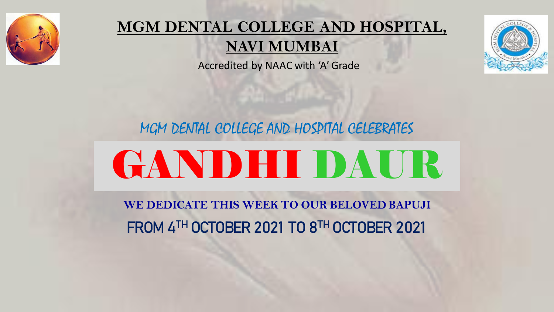

#### **MGM DENTAL COLLEGE AND HOSPITAL, NAVI MUMBAI**

Accredited by NAAC with 'A' Grade

MGM DENTAL COLLEGE AND HOSPITAL CELEBRATES

# GANDHI DAUR

FROM 4TH OCTOBER 2021 TO 8TH OCTOBER 2021 **WE DEDICATE THIS WEEK TO OUR BELOVED BAPUJI**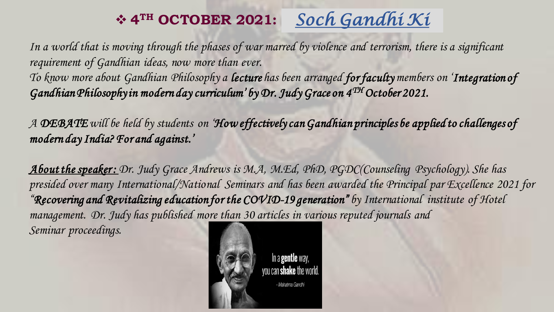## ❖ **4** *Soch Gandhi Ki* **TH OCTOBER 2021:**

In a world that is moving through the phases of war marred by violence and terrorism, there is a significant *requirement of Gandhian ideas, now more than ever.*

*To know more about Gandhian Philosophy a lecture has been arranged for faculty members on 'Integration of Gandhian Philosophy in modern day curriculum' by Dr. Judy Grace on 4 TH October 2021.* 

*A DEBATEwill be held by students on 'How effectively can Gandhian principles be applied to challenges of modern day India? For and against.'*

*About the speaker : Dr. Judy Grace Andrews is M.A, M.Ed, PhD, PGDC(Counseling Psychology). She has presided over many International/National Seminars and has been awarded the Principal par Excellence 2021 for "Recovering and Revitalizing education for the COVID-19 generation" by International institute of Hotel management. Dr. Judy has published more than 30 articles in various reputed journals and Seminar proceedings.*

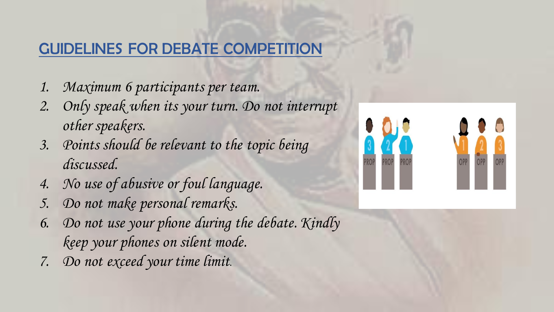#### GUIDELINES FOR DEBATE COMPETITION

- *1. Maximum 6 participants per team.*
- *2. Only speak when its your turn. Do not interrupt other speakers.*
- *3. Points should be relevant to the topic being discussed.*
- *4. No use of abusive or foul language.*
- *5. Do not make personal remarks.*
- *6. Do not use your phone during the debate. Kindly keep your phones on silent mode.*
- *7. Do not exceed your time limit*.

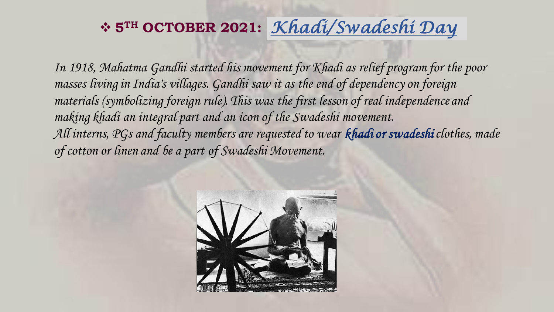## ❖ **5TH OCTOBER 2021:** *Khadi/Swadeshi Day*

*In 1918, Mahatma Gandhi started his movement for Khadi as relief program for the poor masses living in India's villages. Gandhi saw it as the end of dependency on foreign materials (symbolizing foreign rule). This was the first lesson of real independence and making khadi an integral part and an icon of the Swadeshi movement. All interns, PGs and faculty members are requested to wear khadi or swadeshiclothes, made of cotton or linen and be a part of Swadeshi Movement.*

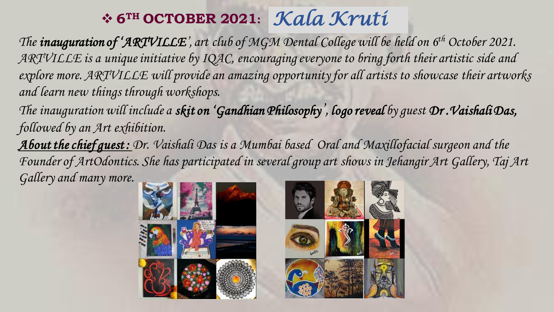## ❖ **6TH OCTOBER 2021:** *Kala Kruti*

*The inauguration of 'ARTVILLE', art club of MGM Dental College will be held on 6th October 2021. ARTVILLE is a unique initiative by IQAC, encouraging everyone to bring forth their artistic side and explore more. ARTVILLE will provide an amazing opportunity for all artists to showcase their artworks and learn new things through workshops.* 

*The inauguration will include a skit on 'Gandhian Philosophy', logo reveal by guest Dr .Vaishali Das, followed by an Art exhibition.*

*About the chief guest : Dr. Vaishali Das is a Mumbai based Oral and Maxillofacial surgeon and the Founder of ArtOdontics. She has participated in several group art shows in Jehangir Art Gallery, Taj Art Gallery and many more.*

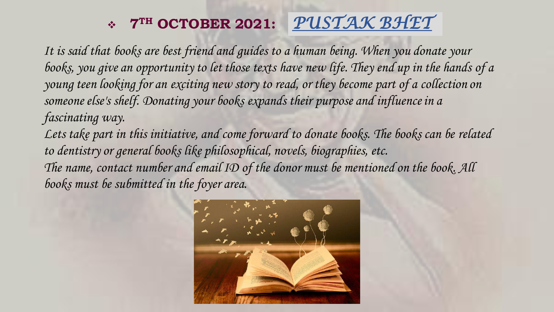## ❖ **7TH OCTOBER 2021:** *PUSTAK BHET*

*It is said that books are best friend and guides to a human being. When you donate your books, you give an opportunity to let those texts have new life. They end up in the hands of a young teen looking for an exciting new story to read, or they become part of a collection on someone else's shelf. Donating your books expands their purpose and influence in a fascinating way.*

Lets take part in this initiative, and come forward to donate books. The books can be related *to dentistry or general books like philosophical, novels, biographies, etc. The name, contact number and email ID of the donor must be mentioned on the book. All books must be submitted in the foyer area.*